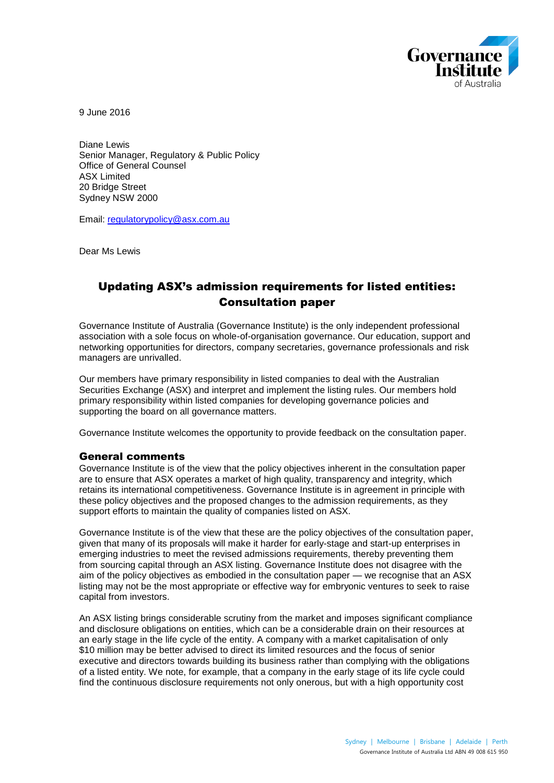

9 June 2016

Diane Lewis Senior Manager, Regulatory & Public Policy Office of General Counsel ASX Limited 20 Bridge Street Sydney NSW 2000

Email: [regulatorypolicy@asx.com.au](mailto:regulatorypolicy@asx.com.au)

Dear Ms Lewis

# Updating ASX's admission requirements for listed entities: Consultation paper

Governance Institute of Australia (Governance Institute) is the only independent professional association with a sole focus on whole-of-organisation governance. Our education, support and networking opportunities for directors, company secretaries, governance professionals and risk managers are unrivalled.

Our members have primary responsibility in listed companies to deal with the Australian Securities Exchange (ASX) and interpret and implement the listing rules. Our members hold primary responsibility within listed companies for developing governance policies and supporting the board on all governance matters.

Governance Institute welcomes the opportunity to provide feedback on the consultation paper.

### General comments

Governance Institute is of the view that the policy objectives inherent in the consultation paper are to ensure that ASX operates a market of high quality, transparency and integrity, which retains its international competitiveness. Governance Institute is in agreement in principle with these policy objectives and the proposed changes to the admission requirements, as they support efforts to maintain the quality of companies listed on ASX.

Governance Institute is of the view that these are the policy objectives of the consultation paper, given that many of its proposals will make it harder for early-stage and start-up enterprises in emerging industries to meet the revised admissions requirements, thereby preventing them from sourcing capital through an ASX listing. Governance Institute does not disagree with the aim of the policy objectives as embodied in the consultation paper — we recognise that an ASX listing may not be the most appropriate or effective way for embryonic ventures to seek to raise capital from investors.

An ASX listing brings considerable scrutiny from the market and imposes significant compliance and disclosure obligations on entities, which can be a considerable drain on their resources at an early stage in the life cycle of the entity. A company with a market capitalisation of only \$10 million may be better advised to direct its limited resources and the focus of senior executive and directors towards building its business rather than complying with the obligations of a listed entity. We note, for example, that a company in the early stage of its life cycle could find the continuous disclosure requirements not only onerous, but with a high opportunity cost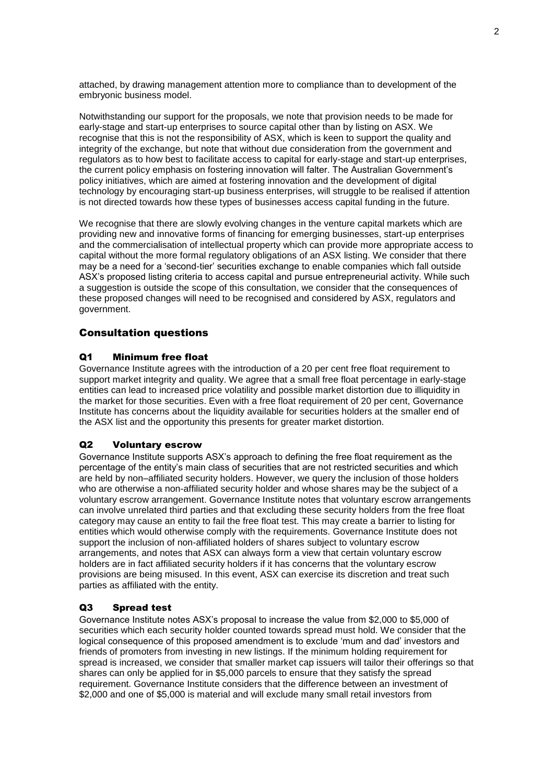attached, by drawing management attention more to compliance than to development of the embryonic business model.

Notwithstanding our support for the proposals, we note that provision needs to be made for early-stage and start-up enterprises to source capital other than by listing on ASX. We recognise that this is not the responsibility of ASX, which is keen to support the quality and integrity of the exchange, but note that without due consideration from the government and regulators as to how best to facilitate access to capital for early-stage and start-up enterprises, the current policy emphasis on fostering innovation will falter. The Australian Government's policy initiatives, which are aimed at fostering innovation and the development of digital technology by encouraging start-up business enterprises, will struggle to be realised if attention is not directed towards how these types of businesses access capital funding in the future.

We recognise that there are slowly evolving changes in the venture capital markets which are providing new and innovative forms of financing for emerging businesses, start-up enterprises and the commercialisation of intellectual property which can provide more appropriate access to capital without the more formal regulatory obligations of an ASX listing. We consider that there may be a need for a 'second-tier' securities exchange to enable companies which fall outside ASX's proposed listing criteria to access capital and pursue entrepreneurial activity. While such a suggestion is outside the scope of this consultation, we consider that the consequences of these proposed changes will need to be recognised and considered by ASX, regulators and government.

# Consultation questions

## Q1 Minimum free float

Governance Institute agrees with the introduction of a 20 per cent free float requirement to support market integrity and quality. We agree that a small free float percentage in early-stage entities can lead to increased price volatility and possible market distortion due to illiquidity in the market for those securities. Even with a free float requirement of 20 per cent, Governance Institute has concerns about the liquidity available for securities holders at the smaller end of the ASX list and the opportunity this presents for greater market distortion.

## Q2 Voluntary escrow

Governance Institute supports ASX's approach to defining the free float requirement as the percentage of the entity's main class of securities that are not restricted securities and which are held by non–affiliated security holders. However, we query the inclusion of those holders who are otherwise a non-affiliated security holder and whose shares may be the subject of a voluntary escrow arrangement. Governance Institute notes that voluntary escrow arrangements can involve unrelated third parties and that excluding these security holders from the free float category may cause an entity to fail the free float test. This may create a barrier to listing for entities which would otherwise comply with the requirements. Governance Institute does not support the inclusion of non-affiliated holders of shares subject to voluntary escrow arrangements, and notes that ASX can always form a view that certain voluntary escrow holders are in fact affiliated security holders if it has concerns that the voluntary escrow provisions are being misused. In this event, ASX can exercise its discretion and treat such parties as affiliated with the entity.

### Q3 Spread test

Governance Institute notes ASX's proposal to increase the value from \$2,000 to \$5,000 of securities which each security holder counted towards spread must hold. We consider that the logical consequence of this proposed amendment is to exclude 'mum and dad' investors and friends of promoters from investing in new listings. If the minimum holding requirement for spread is increased, we consider that smaller market cap issuers will tailor their offerings so that shares can only be applied for in \$5,000 parcels to ensure that they satisfy the spread requirement. Governance Institute considers that the difference between an investment of \$2,000 and one of \$5,000 is material and will exclude many small retail investors from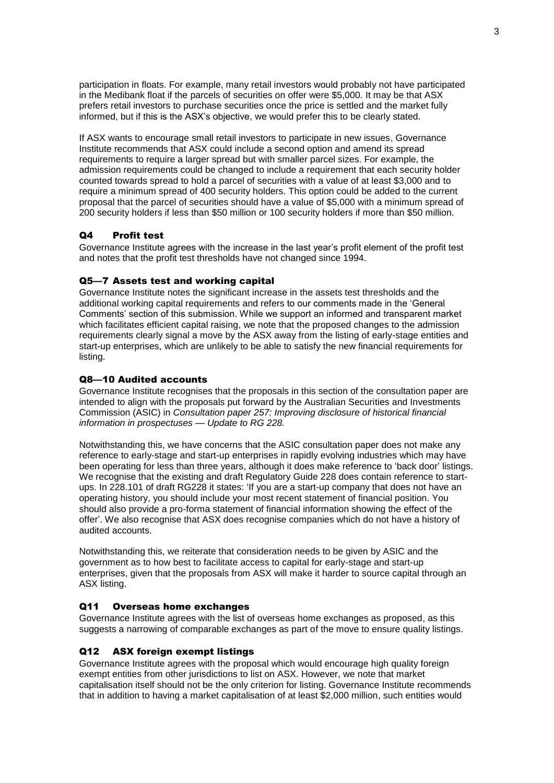participation in floats. For example, many retail investors would probably not have participated in the Medibank float if the parcels of securities on offer were \$5,000. It may be that ASX prefers retail investors to purchase securities once the price is settled and the market fully informed, but if this is the ASX's objective, we would prefer this to be clearly stated.

If ASX wants to encourage small retail investors to participate in new issues, Governance Institute recommends that ASX could include a second option and amend its spread requirements to require a larger spread but with smaller parcel sizes. For example, the admission requirements could be changed to include a requirement that each security holder counted towards spread to hold a parcel of securities with a value of at least \$3,000 and to require a minimum spread of 400 security holders. This option could be added to the current proposal that the parcel of securities should have a value of \$5,000 with a minimum spread of 200 security holders if less than \$50 million or 100 security holders if more than \$50 million.

# Q4 Profit test

Governance Institute agrees with the increase in the last year's profit element of the profit test and notes that the profit test thresholds have not changed since 1994.

## Q5—7 Assets test and working capital

Governance Institute notes the significant increase in the assets test thresholds and the additional working capital requirements and refers to our comments made in the 'General Comments' section of this submission. While we support an informed and transparent market which facilitates efficient capital raising, we note that the proposed changes to the admission requirements clearly signal a move by the ASX away from the listing of early-stage entities and start-up enterprises, which are unlikely to be able to satisfy the new financial requirements for listing.

## Q8—10 Audited accounts

Governance Institute recognises that the proposals in this section of the consultation paper are intended to align with the proposals put forward by the Australian Securities and Investments Commission (ASIC) in *Consultation paper 257: Improving disclosure of historical financial information in prospectuses — Update to RG 228.*

Notwithstanding this, we have concerns that the ASIC consultation paper does not make any reference to early-stage and start-up enterprises in rapidly evolving industries which may have been operating for less than three years, although it does make reference to 'back door' listings. We recognise that the existing and draft Regulatory Guide 228 does contain reference to startups. In 228.101 of draft RG228 it states: 'If you are a start-up company that does not have an operating history, you should include your most recent statement of financial position. You should also provide a pro-forma statement of financial information showing the effect of the offer'. We also recognise that ASX does recognise companies which do not have a history of audited accounts.

Notwithstanding this, we reiterate that consideration needs to be given by ASIC and the government as to how best to facilitate access to capital for early-stage and start-up enterprises, given that the proposals from ASX will make it harder to source capital through an ASX listing.

# Q11 Overseas home exchanges

Governance Institute agrees with the list of overseas home exchanges as proposed, as this suggests a narrowing of comparable exchanges as part of the move to ensure quality listings.

# Q12 ASX foreign exempt listings

Governance Institute agrees with the proposal which would encourage high quality foreign exempt entities from other jurisdictions to list on ASX. However, we note that market capitalisation itself should not be the only criterion for listing. Governance Institute recommends that in addition to having a market capitalisation of at least \$2,000 million, such entities would